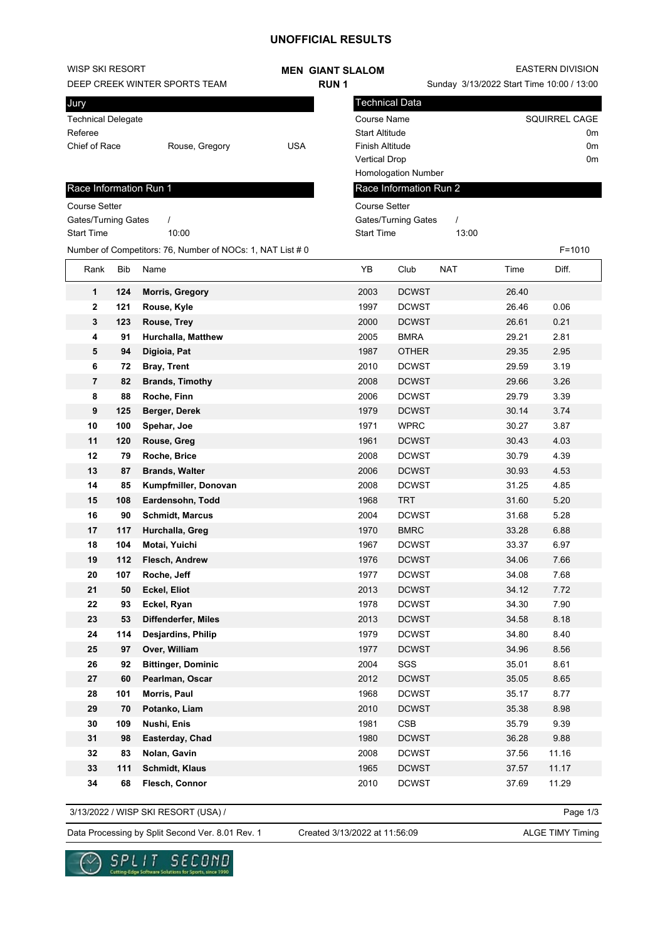## **UNOFFICIAL RESULTS**

| WISP SKI RESORT               |            |                                                            |            | <b>MEN GIANT SLALOM</b> |                       |                        | EASTERN DIVISION                          |       |                      |
|-------------------------------|------------|------------------------------------------------------------|------------|-------------------------|-----------------------|------------------------|-------------------------------------------|-------|----------------------|
| DEEP CREEK WINTER SPORTS TEAM |            |                                                            |            | <b>RUN1</b>             |                       |                        | Sunday 3/13/2022 Start Time 10:00 / 13:00 |       |                      |
| Jury                          |            |                                                            |            |                         |                       | Technical Data         |                                           |       |                      |
| <b>Technical Delegate</b>     |            |                                                            |            |                         | <b>Course Name</b>    |                        |                                           |       | <b>SQUIRREL CAGE</b> |
| Referee                       |            |                                                            |            |                         | <b>Start Altitude</b> |                        |                                           |       | 0m                   |
| Chief of Race                 |            | Rouse, Gregory                                             | <b>USA</b> |                         | Finish Altitude       |                        |                                           |       | 0m                   |
|                               |            |                                                            |            |                         | <b>Vertical Drop</b>  |                        |                                           |       | 0m                   |
|                               |            |                                                            |            |                         |                       | Homologation Number    |                                           |       |                      |
| Race Information Run 1        |            |                                                            |            |                         |                       | Race Information Run 2 |                                           |       |                      |
| <b>Course Setter</b>          |            |                                                            |            |                         | <b>Course Setter</b>  |                        |                                           |       |                      |
| Gates/Turning Gates           |            | $\prime$                                                   |            |                         |                       | Gates/Turning Gates    | $\prime$                                  |       |                      |
| <b>Start Time</b>             |            | 10:00                                                      |            |                         | <b>Start Time</b>     |                        | 13:00                                     |       |                      |
|                               |            | Number of Competitors: 76, Number of NOCs: 1, NAT List # 0 |            |                         |                       |                        |                                           |       | $F = 1010$           |
| Rank                          | <b>Bib</b> | Name                                                       |            |                         | YB                    | Club                   | <b>NAT</b>                                | Time  | Diff.                |
| 1                             | 124        | <b>Morris, Gregory</b>                                     |            |                         | 2003                  | <b>DCWST</b>           |                                           | 26.40 |                      |
| 2                             | 121        | Rouse, Kyle                                                |            |                         | 1997                  | <b>DCWST</b>           |                                           | 26.46 | 0.06                 |
| 3                             | 123        | Rouse, Trey                                                |            |                         | 2000                  | <b>DCWST</b>           |                                           | 26.61 | 0.21                 |
| 4                             | 91         | Hurchalla, Matthew                                         |            |                         | 2005                  | <b>BMRA</b>            |                                           | 29.21 | 2.81                 |
| 5                             | 94         | Digioia, Pat                                               |            |                         | 1987                  | <b>OTHER</b>           |                                           | 29.35 | 2.95                 |
| 6                             | 72         | <b>Bray, Trent</b>                                         |            |                         | 2010                  | <b>DCWST</b>           |                                           | 29.59 | 3.19                 |
| 7                             | 82         | <b>Brands, Timothy</b>                                     |            |                         | 2008                  | <b>DCWST</b>           |                                           | 29.66 | 3.26                 |
| 8                             | 88         | Roche, Finn                                                |            |                         | 2006                  | <b>DCWST</b>           |                                           | 29.79 | 3.39                 |
| 9                             | 125        | Berger, Derek                                              |            |                         | 1979                  | <b>DCWST</b>           |                                           | 30.14 | 3.74                 |
| 10                            | 100        | Spehar, Joe                                                |            |                         | 1971                  | <b>WPRC</b>            |                                           | 30.27 | 3.87                 |
| 11                            | 120        | Rouse, Greg                                                |            |                         | 1961                  | <b>DCWST</b>           |                                           | 30.43 | 4.03                 |
| 12                            | 79         | Roche, Brice                                               |            |                         | 2008                  | <b>DCWST</b>           |                                           | 30.79 | 4.39                 |
| 13                            | 87         | <b>Brands, Walter</b>                                      |            |                         | 2006                  | <b>DCWST</b>           |                                           | 30.93 | 4.53                 |
| 14                            | 85         | Kumpfmiller, Donovan                                       |            |                         | 2008                  | <b>DCWST</b>           |                                           | 31.25 | 4.85                 |
| 15                            | 108        | Eardensohn, Todd                                           |            |                         | 1968                  | <b>TRT</b>             |                                           | 31.60 | 5.20                 |
| 16                            | 90         | <b>Schmidt, Marcus</b>                                     |            |                         | 2004                  | <b>DCWST</b>           |                                           | 31.68 | 5.28                 |
| 17                            | 117        | Hurchalla, Greg                                            |            |                         | 1970                  | <b>BMRC</b>            |                                           | 33.28 | 6.88                 |
| 18                            | 104        | Motai, Yuichi                                              |            |                         | 1967                  | <b>DCWST</b>           |                                           | 33.37 | 6.97                 |
| 19                            | 112        | <b>Flesch, Andrew</b>                                      |            |                         | 1976                  | <b>DCWST</b>           |                                           | 34.06 | 7.66                 |
| 20                            | 107        | Roche, Jeff                                                |            |                         | 1977                  | <b>DCWST</b>           |                                           | 34.08 | 7.68                 |
| 21                            | 50         | Eckel, Eliot                                               |            |                         | 2013                  | <b>DCWST</b>           |                                           | 34.12 | 7.72                 |
| 22                            | 93         | Eckel, Ryan                                                |            |                         | 1978                  | <b>DCWST</b>           |                                           | 34.30 | 7.90                 |
| 23                            | 53         | Diffenderfer, Miles                                        |            |                         | 2013                  | <b>DCWST</b>           |                                           | 34.58 | 8.18                 |
| 24                            | 114        | Desjardins, Philip                                         |            |                         | 1979                  | <b>DCWST</b>           |                                           | 34.80 | 8.40                 |
| 25                            | 97         | Over, William                                              |            |                         | 1977                  | <b>DCWST</b>           |                                           | 34.96 | 8.56                 |
| 26                            | 92         | <b>Bittinger, Dominic</b>                                  |            |                         | 2004                  | SGS                    |                                           | 35.01 | 8.61                 |
| 27                            | 60         | Pearlman, Oscar                                            |            |                         | 2012                  | <b>DCWST</b>           |                                           | 35.05 | 8.65                 |
| 28                            | 101        | Morris, Paul                                               |            |                         | 1968                  | <b>DCWST</b>           |                                           | 35.17 | 8.77                 |
| 29                            | 70         | Potanko, Liam                                              |            |                         | 2010                  | <b>DCWST</b>           |                                           | 35.38 | 8.98                 |
| 30                            | 109        | Nushi, Enis                                                |            |                         | 1981                  | CSB                    |                                           | 35.79 | 9.39                 |
| 31                            | 98         | Easterday, Chad                                            |            |                         | 1980                  | <b>DCWST</b>           |                                           | 36.28 | 9.88                 |
| 32                            | 83         | Nolan, Gavin                                               |            |                         | 2008                  | <b>DCWST</b>           |                                           | 37.56 | 11.16                |
| 33                            | 111        | <b>Schmidt, Klaus</b>                                      |            |                         | 1965                  | <b>DCWST</b>           |                                           | 37.57 | 11.17                |
| 34                            | 68         | Flesch, Connor                                             |            |                         | 2010                  | <b>DCWST</b>           |                                           | 37.69 | 11.29                |
|                               |            |                                                            |            |                         |                       |                        |                                           |       |                      |

3/13/2022 / WISP SKI RESORT (USA) /

Page 1/3

Data Processing by Split Second Ver. 8.01 Rev. 1 Created 3/13/2022 at 11:56:09 ALGE TIMY Timing

Created 3/13/2022 at 11:56:09

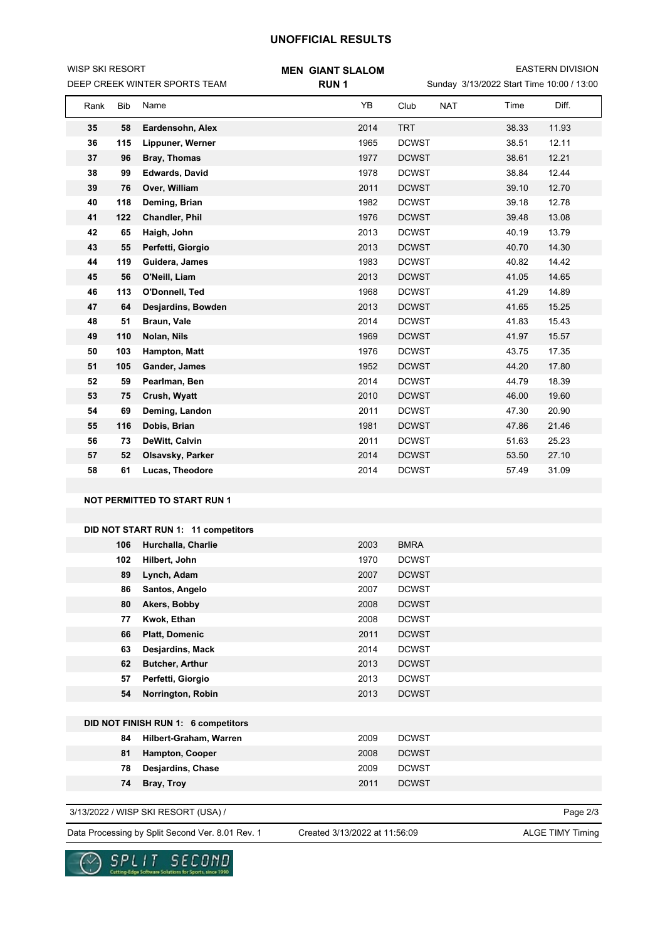## **UNOFFICIAL RESULTS**

| WISP SKI RESORT<br>DEEP CREEK WINTER SPORTS TEAM |     |                                     | <b>MEN GIANT SLALOM</b><br><b>RUN1</b> | <b>EASTERN DIVISION</b><br>Sunday 3/13/2022 Start Time 10:00 / 13:00 |                |  |  |
|--------------------------------------------------|-----|-------------------------------------|----------------------------------------|----------------------------------------------------------------------|----------------|--|--|
| Rank                                             | Bib | Name                                | YB                                     | <b>NAT</b><br>Club                                                   | Diff.<br>Time  |  |  |
| 35                                               | 58  | Eardensohn, Alex                    | 2014                                   | <b>TRT</b>                                                           | 38.33<br>11.93 |  |  |
| 36                                               | 115 | Lippuner, Werner                    | 1965                                   | <b>DCWST</b>                                                         | 12.11<br>38.51 |  |  |
| 37                                               | 96  | <b>Bray, Thomas</b>                 | 1977                                   | <b>DCWST</b>                                                         | 12.21<br>38.61 |  |  |
| 38                                               | 99  | <b>Edwards, David</b>               | 1978                                   | <b>DCWST</b>                                                         | 38.84<br>12.44 |  |  |
| 39                                               | 76  | Over, William                       | 2011                                   | <b>DCWST</b>                                                         | 12.70<br>39.10 |  |  |
| 40                                               | 118 | Deming, Brian                       | 1982                                   | <b>DCWST</b>                                                         | 12.78<br>39.18 |  |  |
| 41                                               | 122 | Chandler, Phil                      | 1976                                   | <b>DCWST</b>                                                         | 13.08<br>39.48 |  |  |
| 42                                               | 65  | Haigh, John                         | 2013                                   | <b>DCWST</b>                                                         | 40.19<br>13.79 |  |  |
| 43                                               | 55  | Perfetti, Giorgio                   | 2013                                   | <b>DCWST</b>                                                         | 40.70<br>14.30 |  |  |
| 44                                               | 119 | Guidera, James                      | 1983                                   | <b>DCWST</b>                                                         | 14.42<br>40.82 |  |  |
| 45                                               | 56  | O'Neill, Liam                       | 2013                                   | <b>DCWST</b>                                                         | 41.05<br>14.65 |  |  |
| 46                                               | 113 | O'Donnell, Ted                      | 1968                                   | <b>DCWST</b>                                                         | 41.29<br>14.89 |  |  |
| 47                                               | 64  | Desjardins, Bowden                  | 2013                                   | <b>DCWST</b>                                                         | 41.65<br>15.25 |  |  |
| 48                                               | 51  | Braun, Vale                         | 2014                                   | <b>DCWST</b>                                                         | 41.83<br>15.43 |  |  |
| 49                                               | 110 | Nolan, Nils                         | 1969                                   | <b>DCWST</b>                                                         | 41.97<br>15.57 |  |  |
| 50                                               | 103 | Hampton, Matt                       | 1976                                   | <b>DCWST</b>                                                         | 43.75<br>17.35 |  |  |
| 51                                               | 105 | Gander, James                       | 1952                                   | <b>DCWST</b>                                                         | 44.20<br>17.80 |  |  |
| 52                                               | 59  | Pearlman, Ben                       | 2014                                   | <b>DCWST</b>                                                         | 44.79<br>18.39 |  |  |
| 53                                               | 75  | Crush, Wyatt                        | 2010                                   | <b>DCWST</b>                                                         | 46.00<br>19.60 |  |  |
| 54                                               | 69  | Deming, Landon                      | 2011                                   | <b>DCWST</b>                                                         | 20.90<br>47.30 |  |  |
| 55                                               | 116 | Dobis, Brian                        | 1981                                   | <b>DCWST</b>                                                         | 21.46<br>47.86 |  |  |
| 56                                               | 73  | DeWitt, Calvin                      | 2011                                   | <b>DCWST</b>                                                         | 25.23<br>51.63 |  |  |
| 57                                               | 52  | Olsavsky, Parker                    | 2014                                   | <b>DCWST</b>                                                         | 53.50<br>27.10 |  |  |
| 58                                               | 61  | Lucas, Theodore                     | 2014                                   | <b>DCWST</b>                                                         | 57.49<br>31.09 |  |  |
|                                                  |     |                                     |                                        |                                                                      |                |  |  |
|                                                  |     | <b>NOT PERMITTED TO START RUN 1</b> |                                        |                                                                      |                |  |  |
|                                                  |     |                                     |                                        |                                                                      |                |  |  |
|                                                  |     | DID NOT START RUN 1: 11 competitors |                                        |                                                                      |                |  |  |
|                                                  | 106 | Hurchalla, Charlie                  | 2003                                   | <b>BMRA</b>                                                          |                |  |  |
|                                                  | 102 | Hilbert, John                       | 1970                                   | <b>DCWST</b>                                                         |                |  |  |
|                                                  | 89  | Lynch, Adam                         | 2007                                   | <b>DCWST</b>                                                         |                |  |  |
|                                                  | 86  | Santos, Angelo                      | 2007                                   | <b>DCWST</b>                                                         |                |  |  |
|                                                  | 80  | Akers, Bobby                        | 2008                                   | <b>DCWST</b>                                                         |                |  |  |
|                                                  | 77  | Kwok, Ethan                         | 2008                                   | <b>DCWST</b>                                                         |                |  |  |
|                                                  | 66  | <b>Platt, Domenic</b>               | 2011                                   | <b>DCWST</b>                                                         |                |  |  |
|                                                  | 63  | Desjardins, Mack                    | 2014                                   | <b>DCWST</b>                                                         |                |  |  |
|                                                  | 62  | <b>Butcher, Arthur</b>              | 2013                                   | <b>DCWST</b>                                                         |                |  |  |
|                                                  | 57  | Perfetti, Giorgio                   | 2013                                   | <b>DCWST</b>                                                         |                |  |  |
|                                                  | 54  | Norrington, Robin                   | 2013                                   | <b>DCWST</b>                                                         |                |  |  |
|                                                  |     | DID NOT FINISH RUN 1: 6 competitors |                                        |                                                                      |                |  |  |
|                                                  | 84  | Hilbert-Graham, Warren              | 2009                                   | <b>DCWST</b>                                                         |                |  |  |
|                                                  | 81  | Hampton, Cooper                     | 2008                                   | <b>DCWST</b>                                                         |                |  |  |
|                                                  | 78  | Desjardins, Chase                   | 2009                                   | <b>DCWST</b>                                                         |                |  |  |
|                                                  | 74  | Bray, Troy                          | 2011                                   | <b>DCWST</b>                                                         |                |  |  |
|                                                  |     |                                     |                                        |                                                                      |                |  |  |
|                                                  |     | 3/13/2022 / WISP SKI RESORT (USA) / |                                        |                                                                      | Page 2/3       |  |  |

Data Processing by Split Second Ver. 8.01 Rev. 1 Created 3/13/2022 at 11:56:09 ALGE TIMY Timing

Created 3/13/2022 at 11:56:09